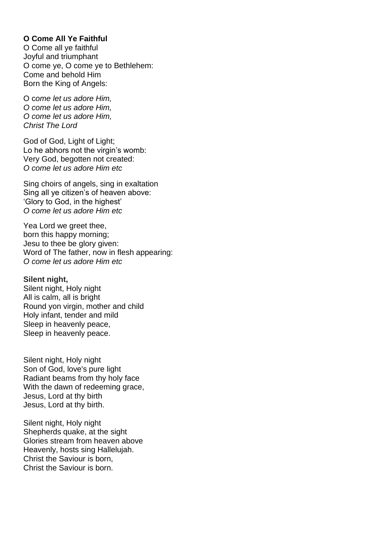# **O Come All Ye Faithful**

O Come all ye faithful Joyful and triumphant O come ye, O come ye to Bethlehem: Come and behold Him Born the King of Angels:

O c*ome let us adore Him, O come let us adore Him, O come let us adore Him, Christ The Lord*

God of God, Light of Light: Lo he abhors not the virgin's womb: Very God, begotten not created: *O come let us adore Him etc*

Sing choirs of angels, sing in exaltation Sing all ye citizen's of heaven above: 'Glory to God, in the highest' *O come let us adore Him etc*

Yea Lord we greet thee, born this happy morning; Jesu to thee be glory given: Word of The father, now in flesh appearing: *O come let us adore Him etc*

#### **Silent night,**

Silent night, Holy night All is calm, all is bright Round yon virgin, mother and child Holy infant, tender and mild Sleep in heavenly peace, Sleep in heavenly peace.

Silent night, Holy night Son of God, love's pure light Radiant beams from thy holy face With the dawn of redeeming grace, Jesus, Lord at thy birth Jesus, Lord at thy birth.

Silent night, Holy night Shepherds quake, at the sight Glories stream from heaven above Heavenly, hosts sing Hallelujah. Christ the Saviour is born, Christ the Saviour is born.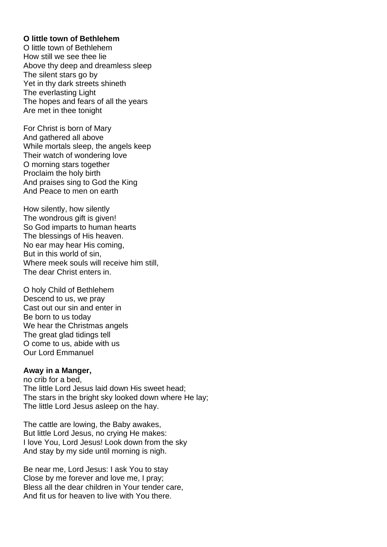## **O little town of Bethlehem**

O little town of Bethlehem How still we see thee lie Above thy deep and dreamless sleep The silent stars go by Yet in thy dark streets shineth The everlasting Light The hopes and fears of all the years Are met in thee tonight

For Christ is born of Mary And gathered all above While mortals sleep, the angels keep Their watch of wondering love O morning stars together Proclaim the holy birth And praises sing to God the King And Peace to men on earth

How silently, how silently The wondrous gift is given! So God imparts to human hearts The blessings of His heaven. No ear may hear His coming, But in this world of sin, Where meek souls will receive him still, The dear Christ enters in.

O holy Child of Bethlehem Descend to us, we pray Cast out our sin and enter in Be born to us today We hear the Christmas angels The great glad tidings tell O come to us, abide with us Our Lord Emmanuel

#### **Away in a Manger,**

no crib for a bed, The little Lord Jesus laid down His sweet head; The stars in the bright sky looked down where He lay; The little Lord Jesus asleep on the hay.

The cattle are lowing, the Baby awakes, But little Lord Jesus, no crying He makes: I love You, Lord Jesus! Look down from the sky And stay by my side until morning is nigh.

Be near me, Lord Jesus: I ask You to stay Close by me forever and love me, I pray; Bless all the dear children in Your tender care, And fit us for heaven to live with You there.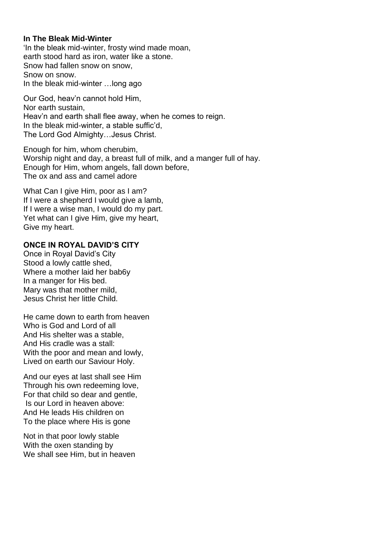### **In The Bleak Mid-Winter**

'In the bleak mid-winter, frosty wind made moan, earth stood hard as iron, water like a stone. Snow had fallen snow on snow, Snow on snow. In the bleak mid-winter …long ago

Our God, heav'n cannot hold Him, Nor earth sustain, Heav'n and earth shall flee away, when he comes to reign. In the bleak mid-winter, a stable suffic'd, The Lord God Almighty…Jesus Christ.

Enough for him, whom cherubim, Worship night and day, a breast full of milk, and a manger full of hay. Enough for Him, whom angels, fall down before, The ox and ass and camel adore

What Can I give Him, poor as I am? If I were a shepherd I would give a lamb, If I were a wise man, I would do my part. Yet what can I give Him, give my heart, Give my heart.

# **ONCE IN ROYAL DAVID'S CITY**

Once in Royal David's City Stood a lowly cattle shed, Where a mother laid her bab6y In a manger for His bed. Mary was that mother mild, Jesus Christ her little Child.

He came down to earth from heaven Who is God and Lord of all And His shelter was a stable, And His cradle was a stall: With the poor and mean and lowly, Lived on earth our Saviour Holy.

And our eyes at last shall see Him Through his own redeeming love, For that child so dear and gentle, Is our Lord in heaven above: And He leads His children on To the place where His is gone

Not in that poor lowly stable With the oxen standing by We shall see Him, but in heaven